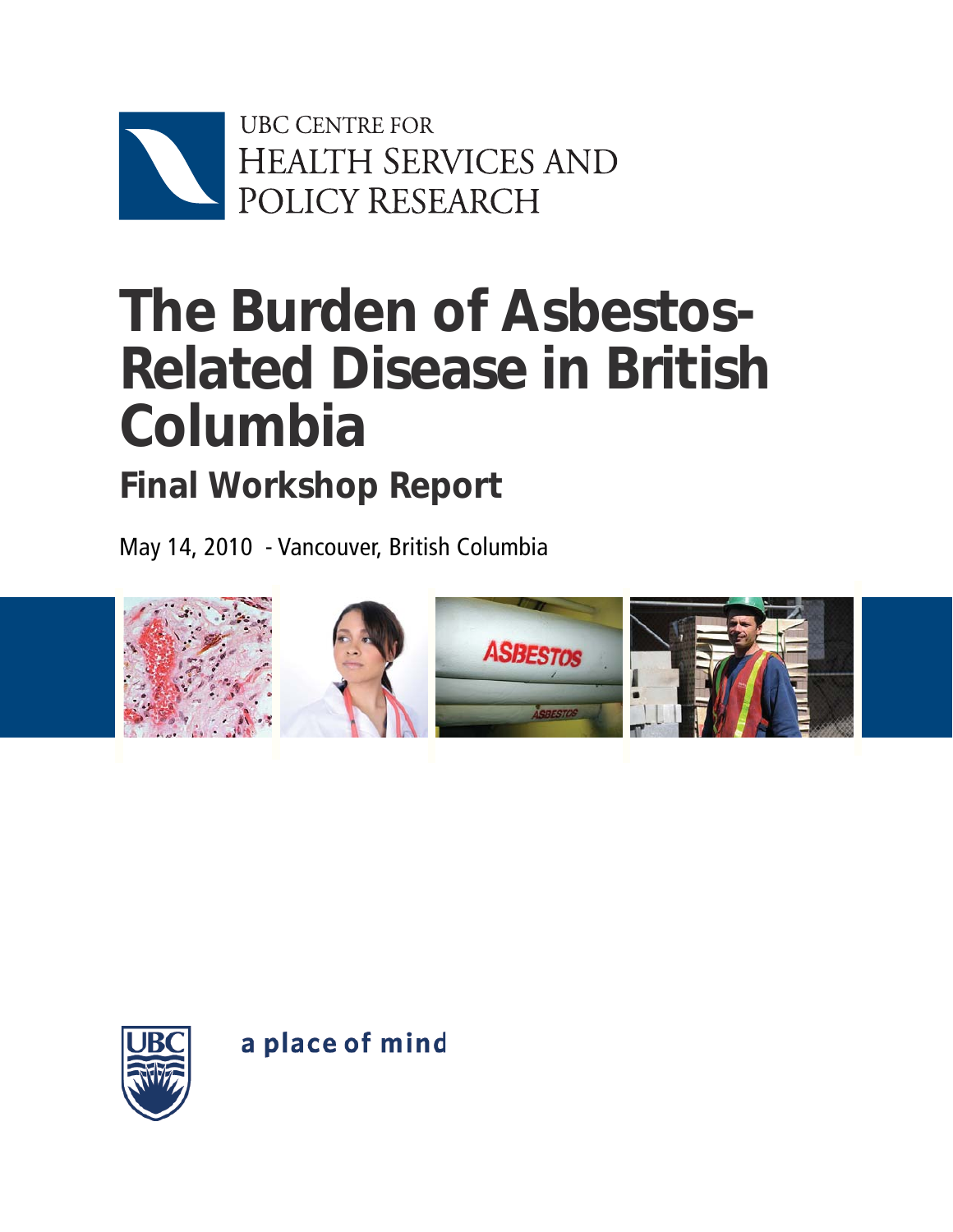

# **The Burden of Asbestos-Related Disease in British Columbia**

## **Final Workshop Report**

May 14, 2010 - Vancouver, British Columbia





a place of mind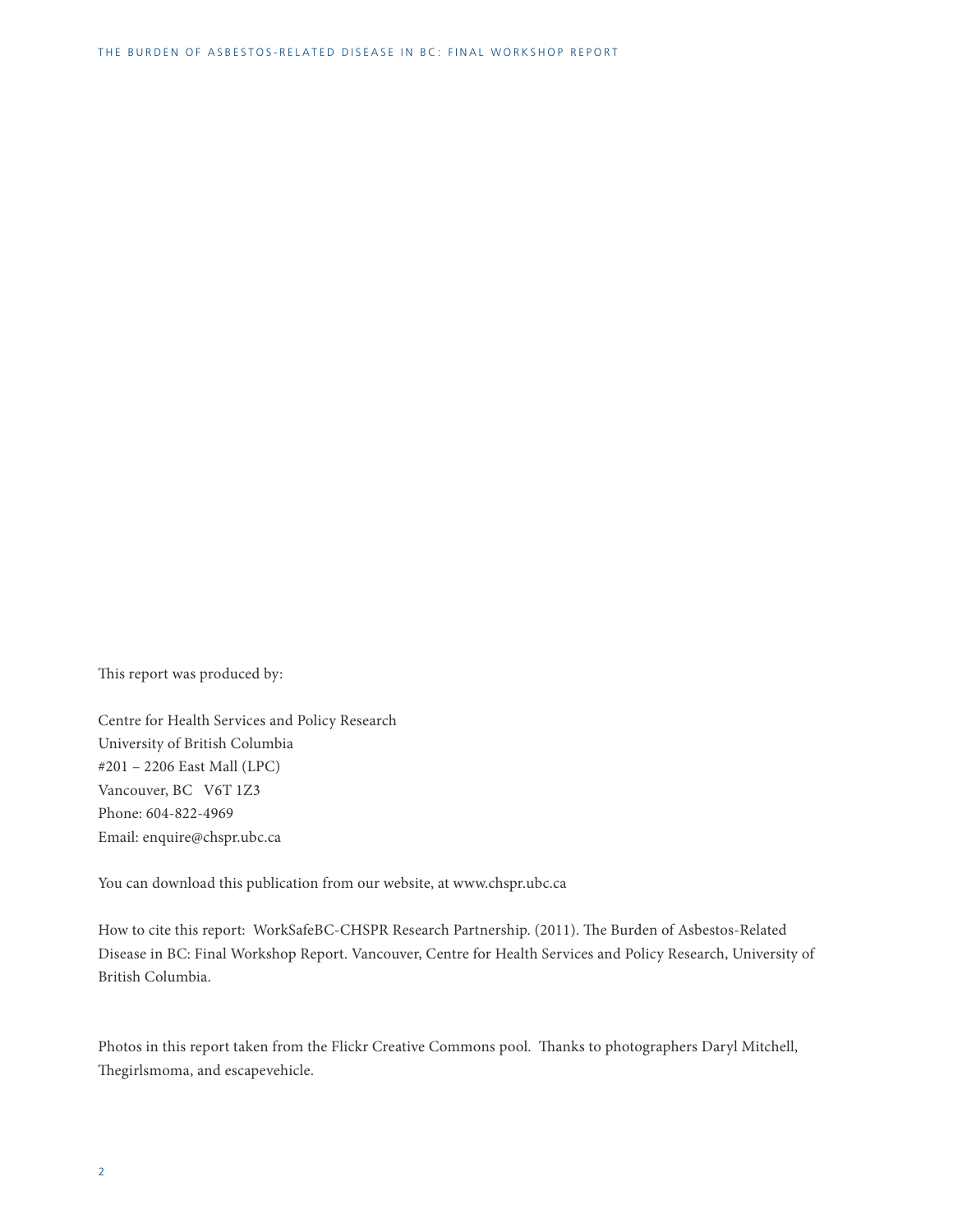This report was produced by:

Centre for Health Services and Policy Research University of British Columbia #201 – 2206 East Mall (LPC) Vancouver, BC V6T 1Z3 Phone: 604-822-4969 Email: enquire@chspr.ubc.ca

You can download this publication from our website, at www.chspr.ubc.ca

How to cite this report: WorkSafeBC-CHSPR Research Partnership. (2011). The Burden of Asbestos-Related Disease in BC: Final Workshop Report. Vancouver, Centre for Health Services and Policy Research, University of British Columbia.

Photos in this report taken from the Flickr Creative Commons pool. Thanks to photographers Daryl Mitchell, Thegirlsmoma, and escapevehicle.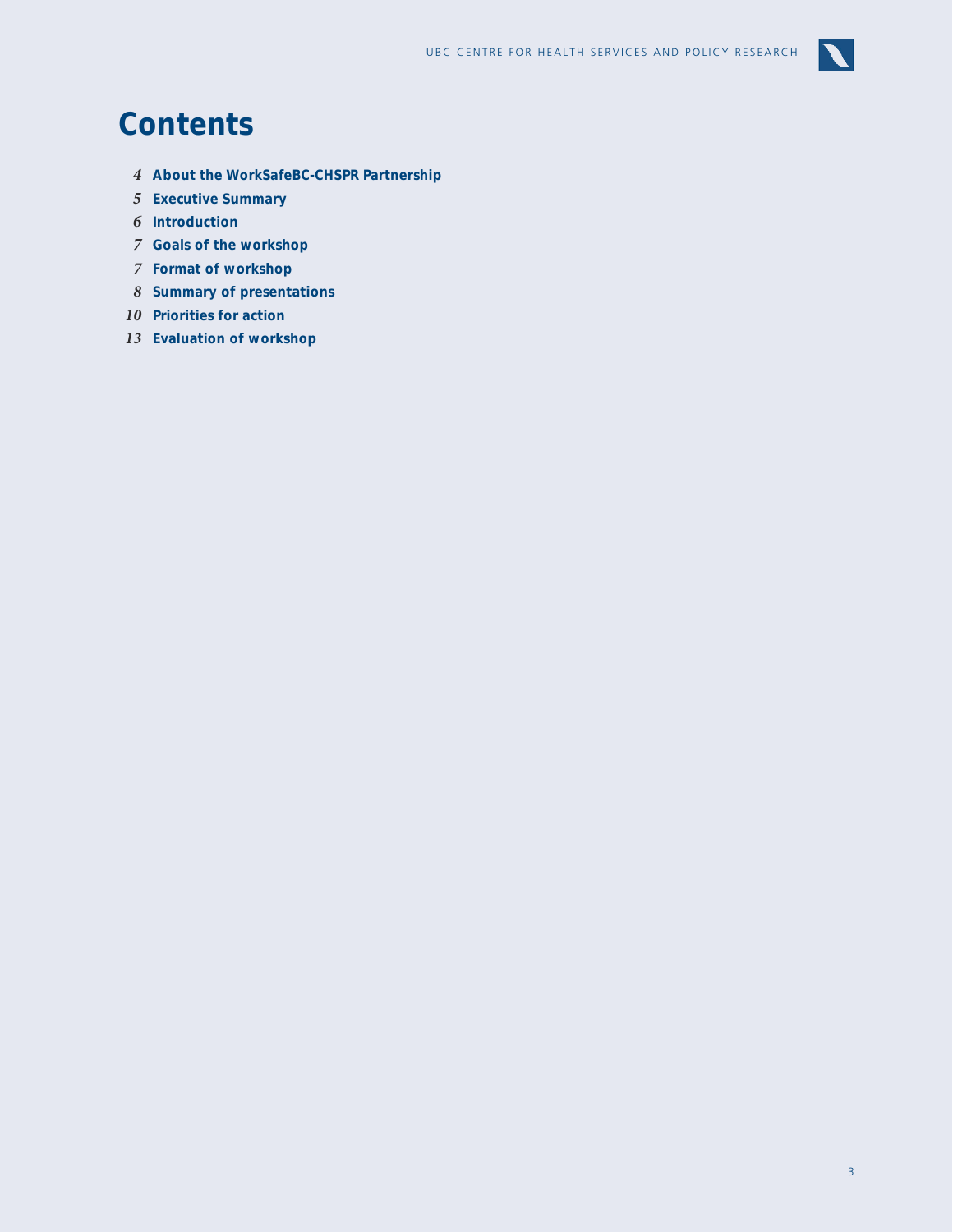

## **Contents**

- **About the WorkSafeBC-CHSPR Partnership**
- **Executive Summary**
- **Introduction**
- **Goals of the workshop**
- **Format of workshop**
- **Summary of presentations**
- **Priorities for action**
- **Evaluation of workshop**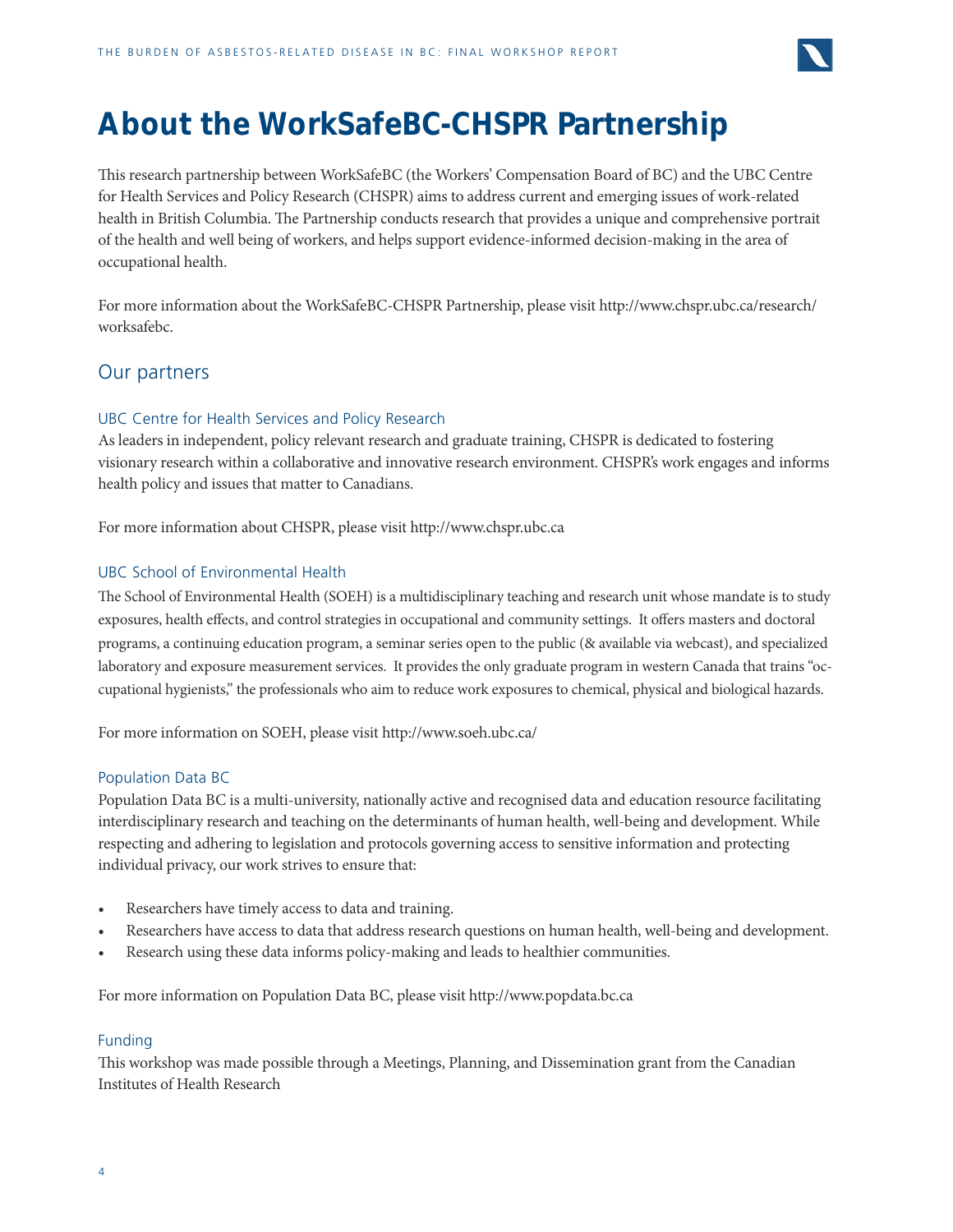

## **About the WorkSafeBC-CHSPR Partnership**

This research partnership between WorkSafeBC (the Workers' Compensation Board of BC) and the UBC Centre for Health Services and Policy Research (CHSPR) aims to address current and emerging issues of work-related health in British Columbia. The Partnership conducts research that provides a unique and comprehensive portrait of the health and well being of workers, and helps support evidence-informed decision-making in the area of occupational health.

For more information about the WorkSafeBC-CHSPR Partnership, please visit http://www.chspr.ubc.ca/research/ worksafebc.

### Our partners

### UBC Centre for Health Services and Policy Research

As leaders in independent, policy relevant research and graduate training, CHSPR is dedicated to fostering visionary research within a collaborative and innovative research environment. CHSPR's work engages and informs health policy and issues that matter to Canadians.

For more information about CHSPR, please visit http://www.chspr.ubc.ca

### UBC School of Environmental Health

The School of Environmental Health (SOEH) is a multidisciplinary teaching and research unit whose mandate is to study exposures, health effects, and control strategies in occupational and community settings. It offers masters and doctoral programs, a continuing education program, a seminar series open to the public (& available via webcast), and specialized laboratory and exposure measurement services. It provides the only graduate program in western Canada that trains "occupational hygienists," the professionals who aim to reduce work exposures to chemical, physical and biological hazards.

For more information on SOEH, please visit http://www.soeh.ubc.ca/

### Population Data BC

Population Data BC is a multi-university, nationally active and recognised data and education resource facilitating interdisciplinary research and teaching on the determinants of human health, well-being and development. While respecting and adhering to legislation and protocols governing access to sensitive information and protecting individual privacy, our work strives to ensure that:

- Researchers have timely access to data and training.
- Researchers have access to data that address research questions on human health, well-being and development.
- Research using these data informs policy-making and leads to healthier communities.

For more information on Population Data BC, please visit http://www.popdata.bc.ca

### Funding

This workshop was made possible through a Meetings, Planning, and Dissemination grant from the Canadian Institutes of Health Research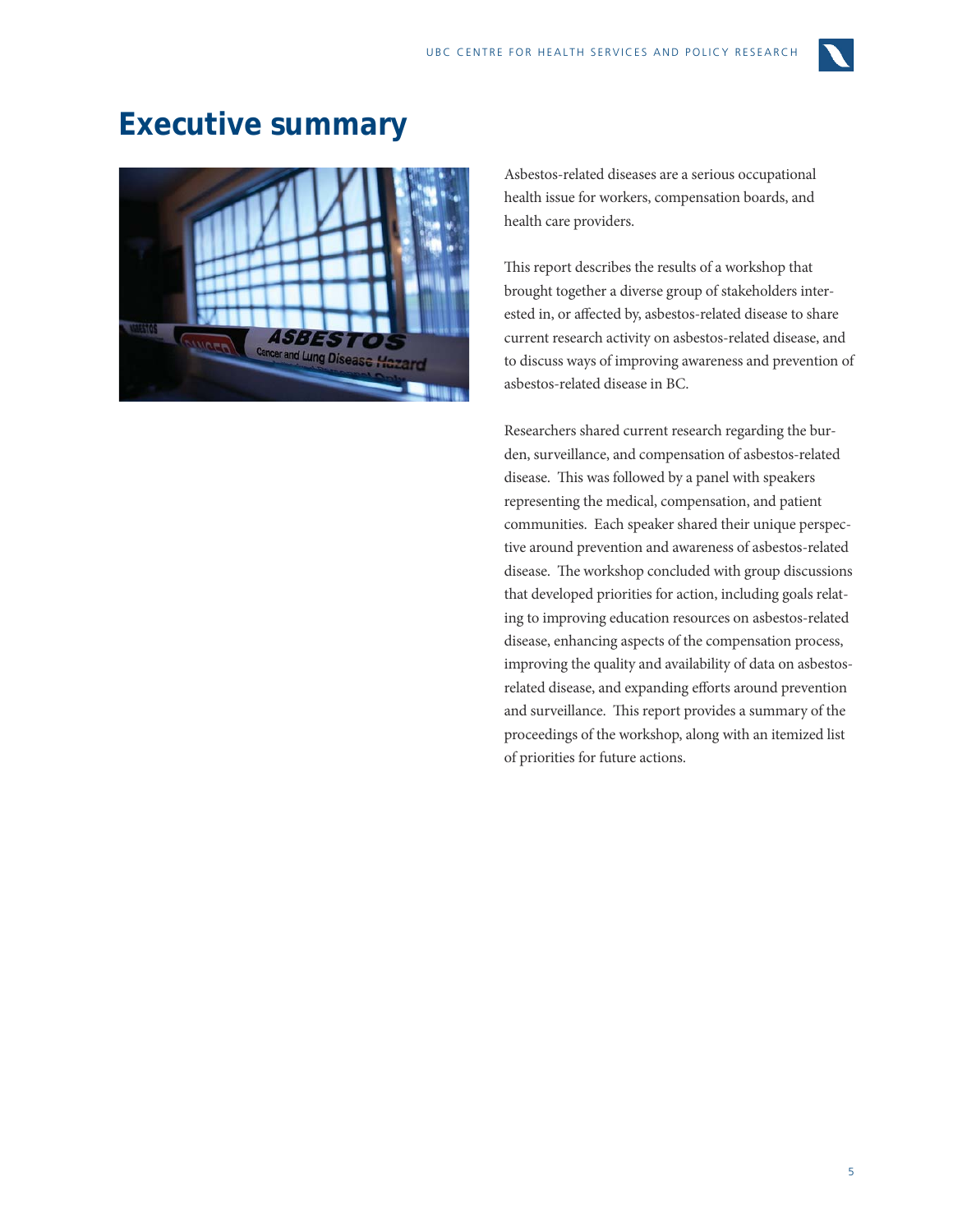

## **Executive summary**



Asbestos-related diseases are a serious occupational health issue for workers, compensation boards, and health care providers.

This report describes the results of a workshop that brought together a diverse group of stakeholders interested in, or affected by, asbestos-related disease to share current research activity on asbestos-related disease, and to discuss ways of improving awareness and prevention of asbestos-related disease in BC.

Researchers shared current research regarding the burden, surveillance, and compensation of asbestos-related disease. This was followed by a panel with speakers representing the medical, compensation, and patient communities. Each speaker shared their unique perspective around prevention and awareness of asbestos-related disease. The workshop concluded with group discussions that developed priorities for action, including goals relating to improving education resources on asbestos-related disease, enhancing aspects of the compensation process, improving the quality and availability of data on asbestosrelated disease, and expanding efforts around prevention and surveillance. This report provides a summary of the proceedings of the workshop, along with an itemized list of priorities for future actions.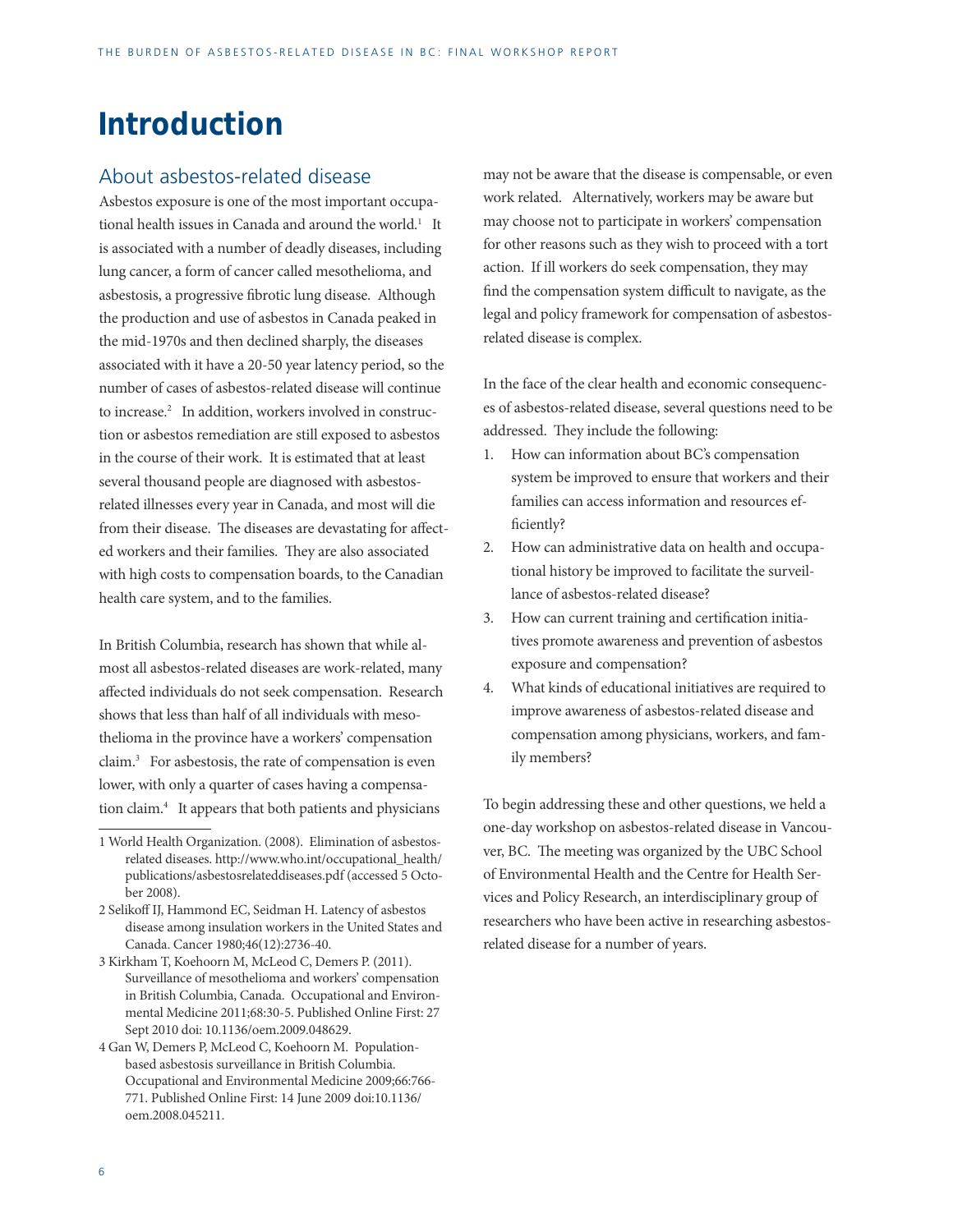## **Introduction**

### About asbestos-related disease

Asbestos exposure is one of the most important occupational health issues in Canada and around the world.<sup>1</sup> It is associated with a number of deadly diseases, including lung cancer, a form of cancer called mesothelioma, and asbestosis, a progressive fibrotic lung disease. Although the production and use of asbestos in Canada peaked in the mid-1970s and then declined sharply, the diseases associated with it have a 20-50 year latency period, so the number of cases of asbestos-related disease will continue to increase.2 In addition, workers involved in construction or asbestos remediation are still exposed to asbestos in the course of their work. It is estimated that at least several thousand people are diagnosed with asbestosrelated illnesses every year in Canada, and most will die from their disease. The diseases are devastating for affected workers and their families. They are also associated with high costs to compensation boards, to the Canadian health care system, and to the families.

In British Columbia, research has shown that while almost all asbestos-related diseases are work-related, many affected individuals do not seek compensation. Research shows that less than half of all individuals with mesothelioma in the province have a workers' compensation claim.3 For asbestosis, the rate of compensation is even lower, with only a quarter of cases having a compensation claim.4 It appears that both patients and physicians

may not be aware that the disease is compensable, or even work related. Alternatively, workers may be aware but may choose not to participate in workers' compensation for other reasons such as they wish to proceed with a tort action. If ill workers do seek compensation, they may find the compensation system difficult to navigate, as the legal and policy framework for compensation of asbestosrelated disease is complex.

In the face of the clear health and economic consequences of asbestos-related disease, several questions need to be addressed. They include the following:

- 1. How can information about BC's compensation system be improved to ensure that workers and their families can access information and resources efficiently?
- 2. How can administrative data on health and occupational history be improved to facilitate the surveillance of asbestos-related disease?
- 3. How can current training and certification initiatives promote awareness and prevention of asbestos exposure and compensation?
- 4. What kinds of educational initiatives are required to improve awareness of asbestos-related disease and compensation among physicians, workers, and family members?

To begin addressing these and other questions, we held a one-day workshop on asbestos-related disease in Vancouver, BC. The meeting was organized by the UBC School of Environmental Health and the Centre for Health Services and Policy Research, an interdisciplinary group of researchers who have been active in researching asbestosrelated disease for a number of years.

<sup>1</sup> World Health Organization. (2008). Elimination of asbestosrelated diseases. http://www.who.int/occupational\_health/ publications/asbestosrelateddiseases.pdf (accessed 5 October 2008).

<sup>2</sup> Selikoff IJ, Hammond EC, Seidman H. Latency of asbestos disease among insulation workers in the United States and Canada. Cancer 1980;46(12):2736-40.

<sup>3</sup> Kirkham T, Koehoorn M, McLeod C, Demers P. (2011). Surveillance of mesothelioma and workers' compensation in British Columbia, Canada. Occupational and Environmental Medicine 2011;68:30-5. Published Online First: 27 Sept 2010 doi: 10.1136/oem.2009.048629.

<sup>4</sup> Gan W, Demers P, McLeod C, Koehoorn M. Populationbased asbestosis surveillance in British Columbia. Occupational and Environmental Medicine 2009;66:766- 771. Published Online First: 14 June 2009 doi:10.1136/ oem.2008.045211.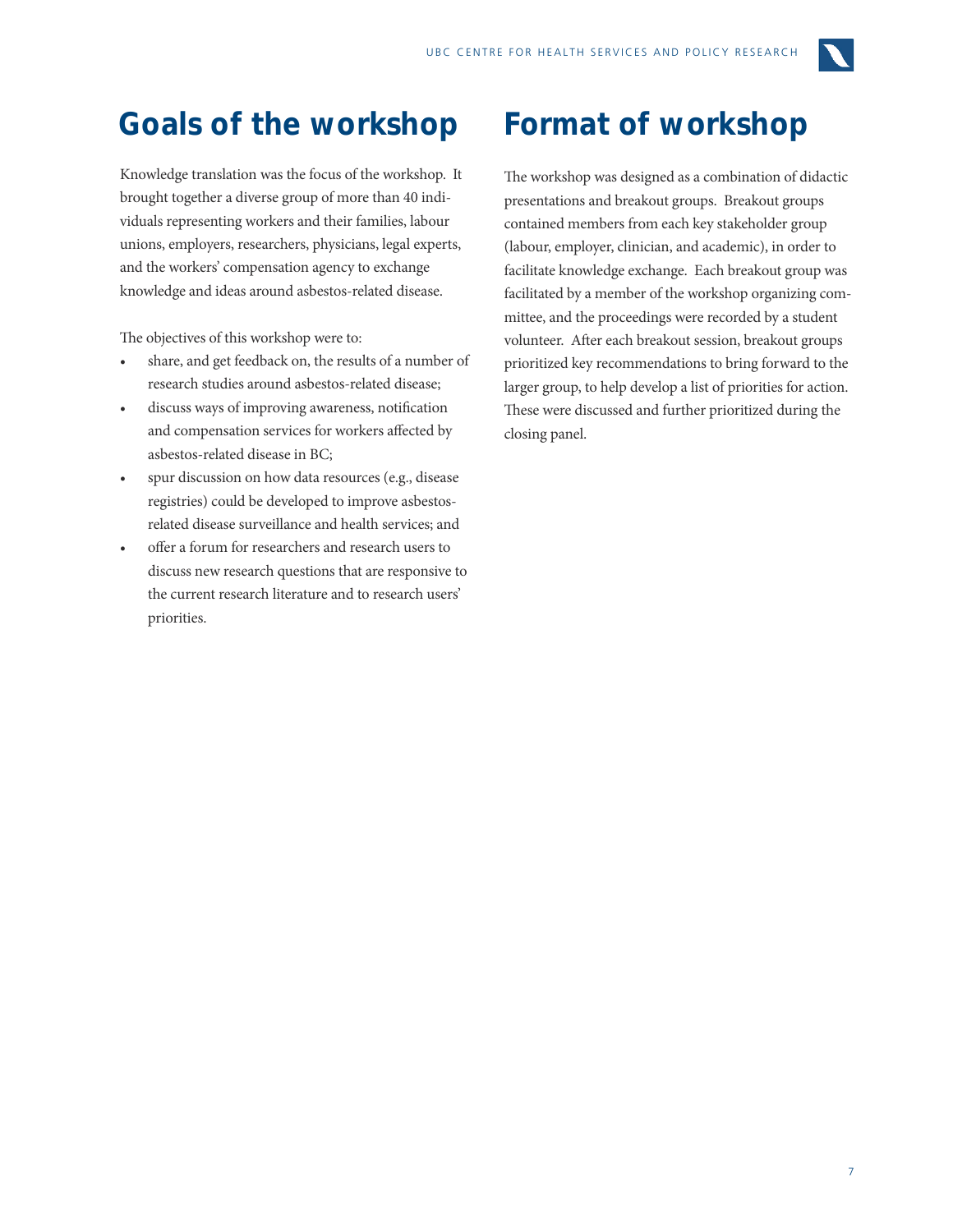

## **Goals of the workshop Format of workshop**

Knowledge translation was the focus of the workshop. It brought together a diverse group of more than 40 individuals representing workers and their families, labour unions, employers, researchers, physicians, legal experts, and the workers' compensation agency to exchange knowledge and ideas around asbestos-related disease.

The objectives of this workshop were to:

- share, and get feedback on, the results of a number of research studies around asbestos-related disease;
- discuss ways of improving awareness, notification and compensation services for workers affected by asbestos-related disease in BC;
- spur discussion on how data resources (e.g., disease registries) could be developed to improve asbestosrelated disease surveillance and health services; and
- offer a forum for researchers and research users to discuss new research questions that are responsive to the current research literature and to research users' priorities.

The workshop was designed as a combination of didactic presentations and breakout groups. Breakout groups contained members from each key stakeholder group (labour, employer, clinician, and academic), in order to facilitate knowledge exchange. Each breakout group was facilitated by a member of the workshop organizing committee, and the proceedings were recorded by a student volunteer. After each breakout session, breakout groups prioritized key recommendations to bring forward to the larger group, to help develop a list of priorities for action. These were discussed and further prioritized during the closing panel.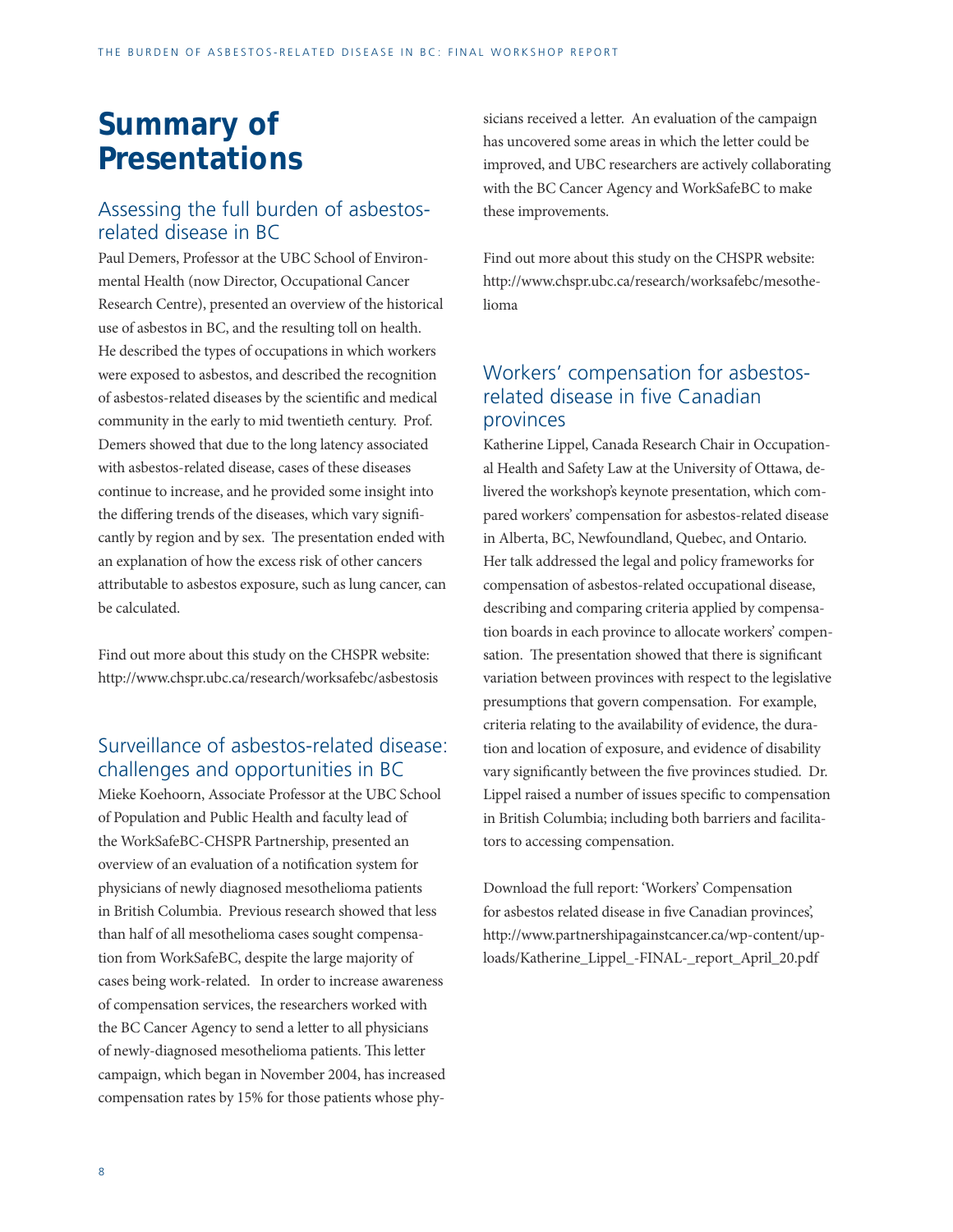## **Summary of Presentations**

### Assessing the full burden of asbestosrelated disease in BC

Paul Demers, Professor at the UBC School of Environmental Health (now Director, Occupational Cancer Research Centre), presented an overview of the historical use of asbestos in BC, and the resulting toll on health. He described the types of occupations in which workers were exposed to asbestos, and described the recognition of asbestos-related diseases by the scientific and medical community in the early to mid twentieth century. Prof. Demers showed that due to the long latency associated with asbestos-related disease, cases of these diseases continue to increase, and he provided some insight into the differing trends of the diseases, which vary significantly by region and by sex. The presentation ended with an explanation of how the excess risk of other cancers attributable to asbestos exposure, such as lung cancer, can be calculated.

Find out more about this study on the CHSPR website: http://www.chspr.ubc.ca/research/worksafebc/asbestosis

### Surveillance of asbestos-related disease: challenges and opportunities in BC

Mieke Koehoorn, Associate Professor at the UBC School of Population and Public Health and faculty lead of the WorkSafeBC-CHSPR Partnership, presented an overview of an evaluation of a notification system for physicians of newly diagnosed mesothelioma patients in British Columbia. Previous research showed that less than half of all mesothelioma cases sought compensation from WorkSafeBC, despite the large majority of cases being work-related. In order to increase awareness of compensation services, the researchers worked with the BC Cancer Agency to send a letter to all physicians of newly-diagnosed mesothelioma patients. This letter campaign, which began in November 2004, has increased compensation rates by 15% for those patients whose physicians received a letter. An evaluation of the campaign has uncovered some areas in which the letter could be improved, and UBC researchers are actively collaborating with the BC Cancer Agency and WorkSafeBC to make these improvements.

Find out more about this study on the CHSPR website: http://www.chspr.ubc.ca/research/worksafebc/mesothelioma

### Workers' compensation for asbestosrelated disease in five Canadian provinces

Katherine Lippel, Canada Research Chair in Occupational Health and Safety Law at the University of Ottawa, delivered the workshop's keynote presentation, which compared workers' compensation for asbestos-related disease in Alberta, BC, Newfoundland, Quebec, and Ontario. Her talk addressed the legal and policy frameworks for compensation of asbestos-related occupational disease, describing and comparing criteria applied by compensation boards in each province to allocate workers' compensation. The presentation showed that there is significant variation between provinces with respect to the legislative presumptions that govern compensation. For example, criteria relating to the availability of evidence, the duration and location of exposure, and evidence of disability vary significantly between the five provinces studied. Dr. Lippel raised a number of issues specific to compensation in British Columbia; including both barriers and facilitators to accessing compensation.

Download the full report: 'Workers' Compensation for asbestos related disease in five Canadian provinces', http://www.partnershipagainstcancer.ca/wp-content/uploads/Katherine\_Lippel\_-FINAL-\_report\_April\_20.pdf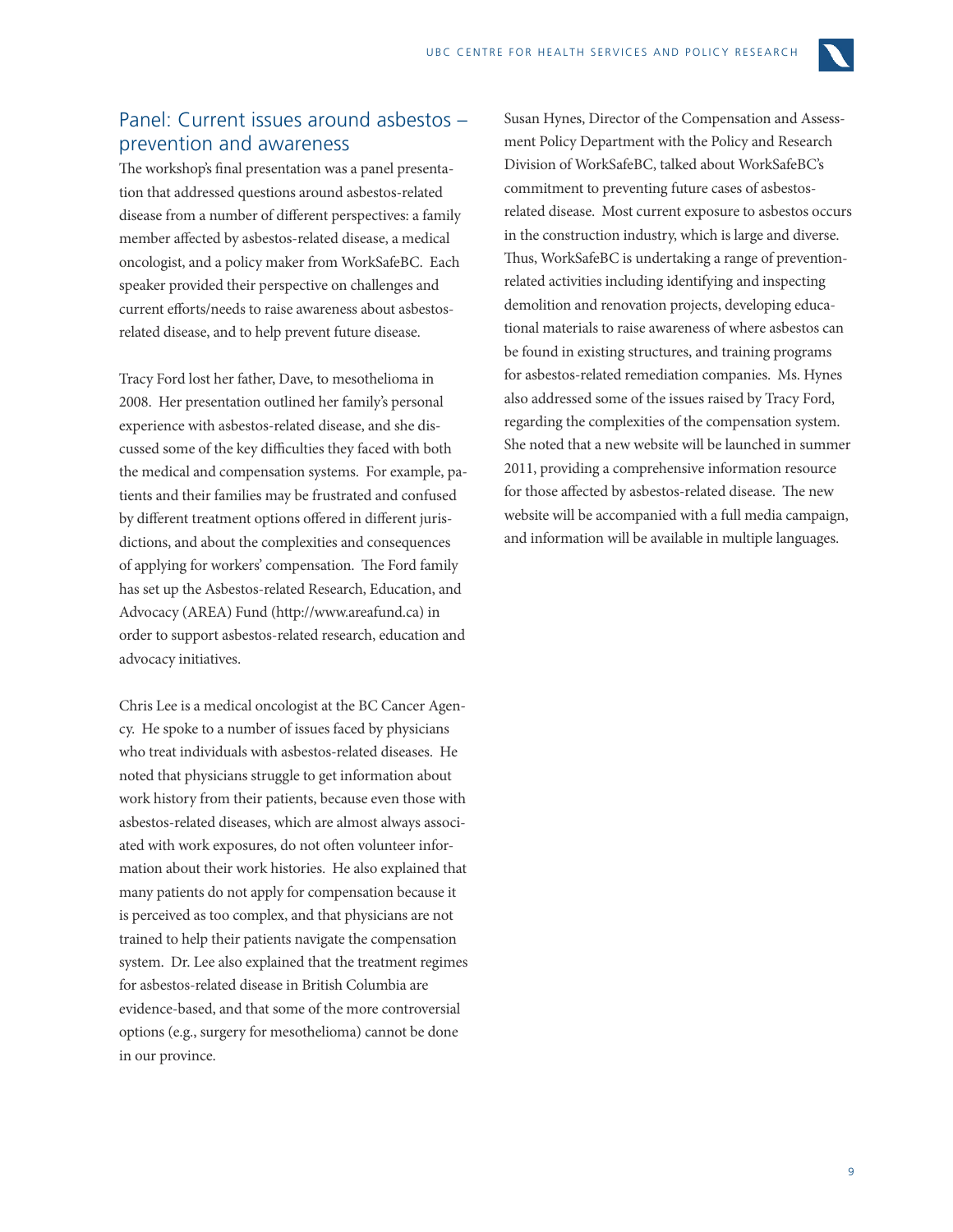

### Panel: Current issues around asbestos – prevention and awareness

The workshop's final presentation was a panel presentation that addressed questions around asbestos-related disease from a number of different perspectives: a family member affected by asbestos-related disease, a medical oncologist, and a policy maker from WorkSafeBC. Each speaker provided their perspective on challenges and current efforts/needs to raise awareness about asbestosrelated disease, and to help prevent future disease.

Tracy Ford lost her father, Dave, to mesothelioma in 2008. Her presentation outlined her family's personal experience with asbestos-related disease, and she discussed some of the key difficulties they faced with both the medical and compensation systems. For example, patients and their families may be frustrated and confused by different treatment options offered in different jurisdictions, and about the complexities and consequences of applying for workers' compensation. The Ford family has set up the Asbestos-related Research, Education, and Advocacy (AREA) Fund (http://www.areafund.ca) in order to support asbestos-related research, education and advocacy initiatives.

Chris Lee is a medical oncologist at the BC Cancer Agency. He spoke to a number of issues faced by physicians who treat individuals with asbestos-related diseases. He noted that physicians struggle to get information about work history from their patients, because even those with asbestos-related diseases, which are almost always associated with work exposures, do not often volunteer information about their work histories. He also explained that many patients do not apply for compensation because it is perceived as too complex, and that physicians are not trained to help their patients navigate the compensation system. Dr. Lee also explained that the treatment regimes for asbestos-related disease in British Columbia are evidence-based, and that some of the more controversial options (e.g., surgery for mesothelioma) cannot be done in our province.

Susan Hynes, Director of the Compensation and Assessment Policy Department with the Policy and Research Division of WorkSafeBC, talked about WorkSafeBC's commitment to preventing future cases of asbestosrelated disease. Most current exposure to asbestos occurs in the construction industry, which is large and diverse. Thus, WorkSafeBC is undertaking a range of preventionrelated activities including identifying and inspecting demolition and renovation projects, developing educational materials to raise awareness of where asbestos can be found in existing structures, and training programs for asbestos-related remediation companies. Ms. Hynes also addressed some of the issues raised by Tracy Ford, regarding the complexities of the compensation system. She noted that a new website will be launched in summer 2011, providing a comprehensive information resource for those affected by asbestos-related disease. The new website will be accompanied with a full media campaign, and information will be available in multiple languages.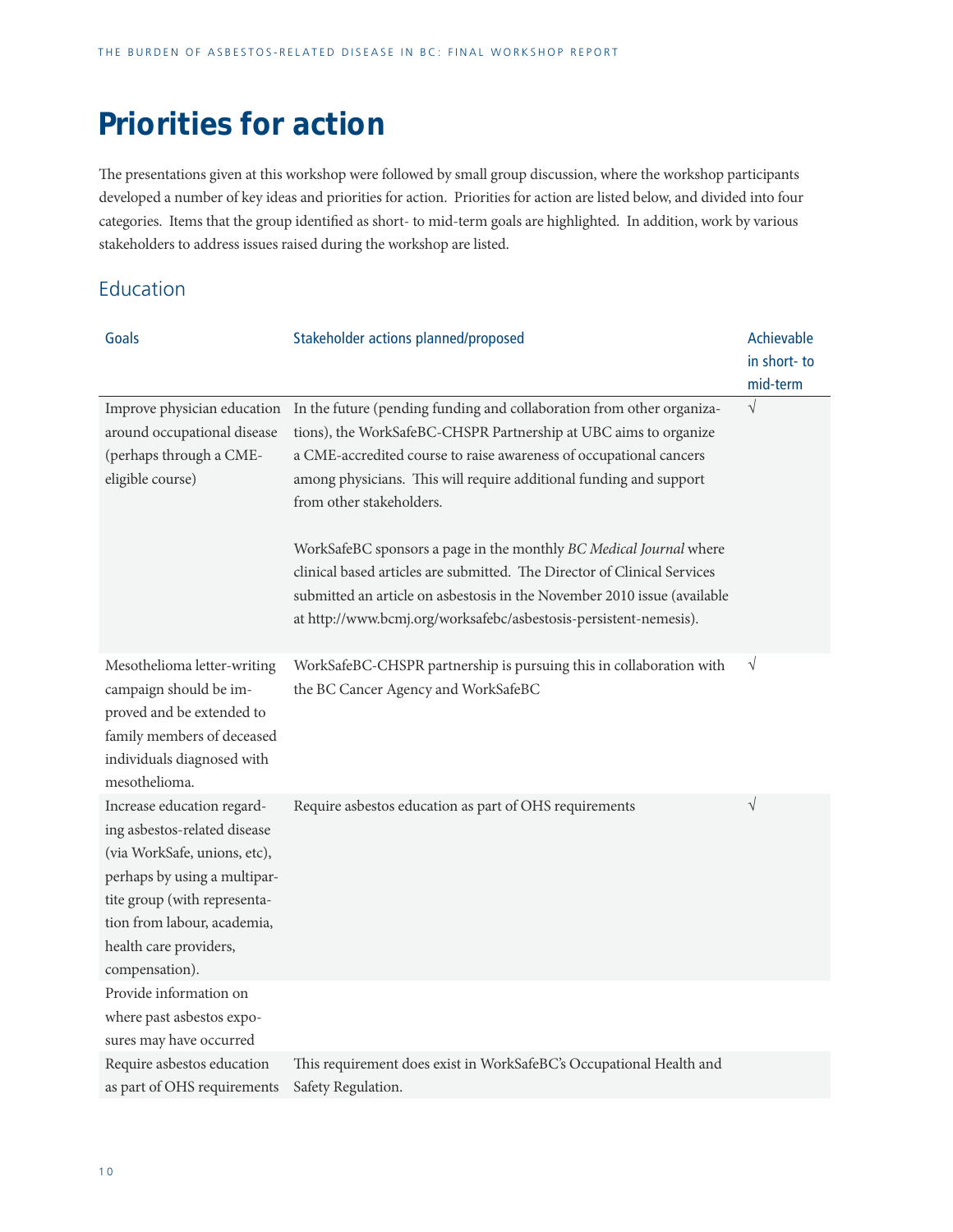## **Priorities for action**

The presentations given at this workshop were followed by small group discussion, where the workshop participants developed a number of key ideas and priorities for action. Priorities for action are listed below, and divided into four categories. Items that the group identified as short- to mid-term goals are highlighted. In addition, work by various stakeholders to address issues raised during the workshop are listed.

### Education

| Goals                                                                                                                                                                                                                                 | Stakeholder actions planned/proposed                                                                                                                                                                                                                                                                                                                                                                                                                                                                                                                                                                                 | Achievable              |
|---------------------------------------------------------------------------------------------------------------------------------------------------------------------------------------------------------------------------------------|----------------------------------------------------------------------------------------------------------------------------------------------------------------------------------------------------------------------------------------------------------------------------------------------------------------------------------------------------------------------------------------------------------------------------------------------------------------------------------------------------------------------------------------------------------------------------------------------------------------------|-------------------------|
|                                                                                                                                                                                                                                       |                                                                                                                                                                                                                                                                                                                                                                                                                                                                                                                                                                                                                      | in short-to<br>mid-term |
| Improve physician education<br>around occupational disease<br>(perhaps through a CME-<br>eligible course)                                                                                                                             | In the future (pending funding and collaboration from other organiza-<br>tions), the WorkSafeBC-CHSPR Partnership at UBC aims to organize<br>a CME-accredited course to raise awareness of occupational cancers<br>among physicians. This will require additional funding and support<br>from other stakeholders.<br>WorkSafeBC sponsors a page in the monthly BC Medical Journal where<br>clinical based articles are submitted. The Director of Clinical Services<br>submitted an article on asbestosis in the November 2010 issue (available<br>at http://www.bcmj.org/worksafebc/asbestosis-persistent-nemesis). | $\sqrt{ }$              |
| Mesothelioma letter-writing<br>campaign should be im-<br>proved and be extended to<br>family members of deceased<br>individuals diagnosed with<br>mesothelioma.                                                                       | WorkSafeBC-CHSPR partnership is pursuing this in collaboration with<br>the BC Cancer Agency and WorkSafeBC                                                                                                                                                                                                                                                                                                                                                                                                                                                                                                           | $\sqrt{}$               |
| Increase education regard-<br>ing asbestos-related disease<br>(via WorkSafe, unions, etc),<br>perhaps by using a multipar-<br>tite group (with representa-<br>tion from labour, academia,<br>health care providers,<br>compensation). | Require asbestos education as part of OHS requirements                                                                                                                                                                                                                                                                                                                                                                                                                                                                                                                                                               | $\sqrt{}$               |
| Provide information on<br>where past asbestos expo-<br>sures may have occurred                                                                                                                                                        |                                                                                                                                                                                                                                                                                                                                                                                                                                                                                                                                                                                                                      |                         |
| Require asbestos education<br>as part of OHS requirements                                                                                                                                                                             | This requirement does exist in WorkSafeBC's Occupational Health and<br>Safety Regulation.                                                                                                                                                                                                                                                                                                                                                                                                                                                                                                                            |                         |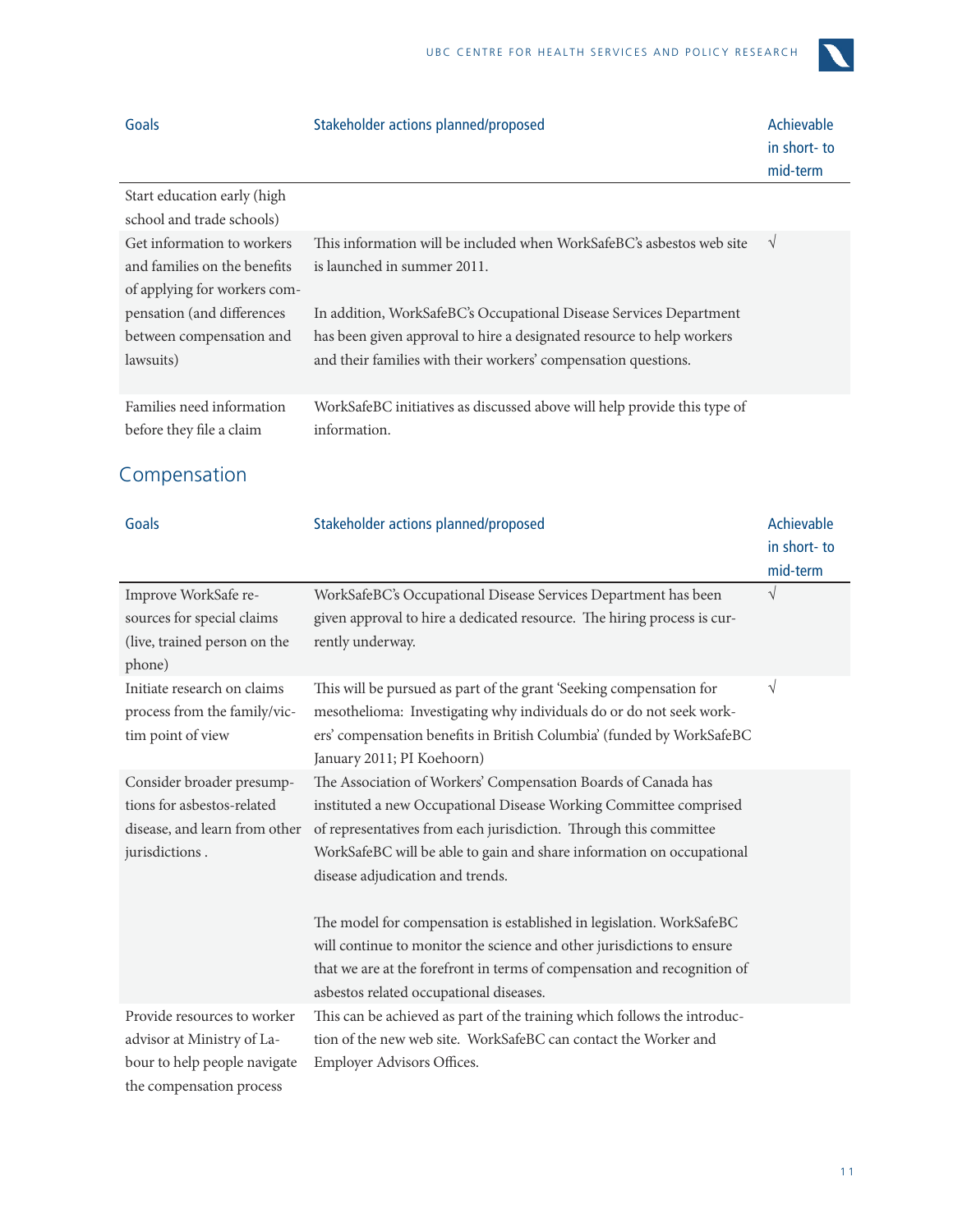

| Goals                                                 | Stakeholder actions planned/proposed                                                     | Achievable<br>in short-to<br>mid-term |
|-------------------------------------------------------|------------------------------------------------------------------------------------------|---------------------------------------|
| Start education early (high                           |                                                                                          |                                       |
| school and trade schools)                             |                                                                                          |                                       |
| Get information to workers                            | This information will be included when WorkSafeBC's asbestos web site                    | V                                     |
| and families on the benefits                          | is launched in summer 2011.                                                              |                                       |
| of applying for workers com-                          |                                                                                          |                                       |
| pensation (and differences                            | In addition, WorkSafeBC's Occupational Disease Services Department                       |                                       |
| between compensation and                              | has been given approval to hire a designated resource to help workers                    |                                       |
| lawsuits)                                             | and their families with their workers' compensation questions.                           |                                       |
| Families need information<br>before they file a claim | WorkSafeBC initiatives as discussed above will help provide this type of<br>information. |                                       |

## Compensation

| Goals                                                                                                                 | Stakeholder actions planned/proposed                                                                                                                                                                                                                                                                                 | Achievable  |
|-----------------------------------------------------------------------------------------------------------------------|----------------------------------------------------------------------------------------------------------------------------------------------------------------------------------------------------------------------------------------------------------------------------------------------------------------------|-------------|
|                                                                                                                       |                                                                                                                                                                                                                                                                                                                      | in short-to |
|                                                                                                                       |                                                                                                                                                                                                                                                                                                                      | mid-term    |
| Improve WorkSafe re-<br>sources for special claims                                                                    | WorkSafeBC's Occupational Disease Services Department has been<br>given approval to hire a dedicated resource. The hiring process is cur-                                                                                                                                                                            | $\sqrt{}$   |
| (live, trained person on the<br>phone)                                                                                | rently underway.                                                                                                                                                                                                                                                                                                     |             |
| Initiate research on claims<br>process from the family/vic-<br>tim point of view                                      | This will be pursued as part of the grant 'Seeking compensation for<br>mesothelioma: Investigating why individuals do or do not seek work-<br>ers' compensation benefits in British Columbia' (funded by WorkSafeBC<br>January 2011; PI Koehoorn)                                                                    | V           |
| Consider broader presump-<br>tions for asbestos-related<br>disease, and learn from other<br>jurisdictions.            | The Association of Workers' Compensation Boards of Canada has<br>instituted a new Occupational Disease Working Committee comprised<br>of representatives from each jurisdiction. Through this committee<br>WorkSafeBC will be able to gain and share information on occupational<br>disease adjudication and trends. |             |
|                                                                                                                       | The model for compensation is established in legislation. WorkSafeBC<br>will continue to monitor the science and other jurisdictions to ensure<br>that we are at the forefront in terms of compensation and recognition of<br>asbestos related occupational diseases.                                                |             |
| Provide resources to worker<br>advisor at Ministry of La-<br>bour to help people navigate<br>the compensation process | This can be achieved as part of the training which follows the introduc-<br>tion of the new web site. WorkSafeBC can contact the Worker and<br>Employer Advisors Offices.                                                                                                                                            |             |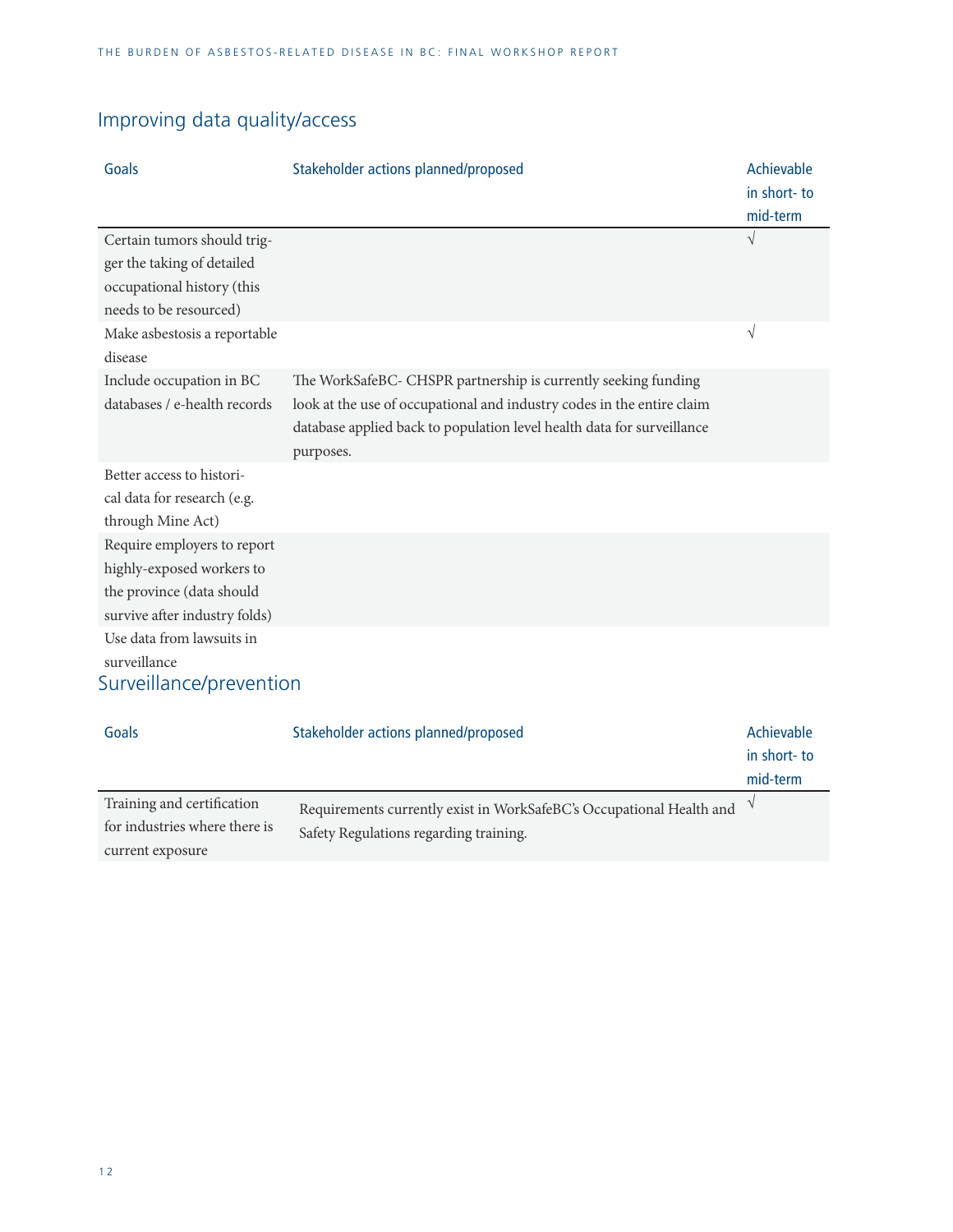## Improving data quality/access

| Goals                                                                                                                  | Stakeholder actions planned/proposed                                                                                                                                                                                            | Achievable<br>in short-to<br>mid-term |
|------------------------------------------------------------------------------------------------------------------------|---------------------------------------------------------------------------------------------------------------------------------------------------------------------------------------------------------------------------------|---------------------------------------|
| Certain tumors should trig-<br>ger the taking of detailed<br>occupational history (this<br>needs to be resourced)      |                                                                                                                                                                                                                                 | $\sqrt{}$                             |
| Make asbestosis a reportable<br>disease                                                                                |                                                                                                                                                                                                                                 | $\sqrt{}$                             |
| Include occupation in BC<br>databases / e-health records                                                               | The WorkSafeBC- CHSPR partnership is currently seeking funding<br>look at the use of occupational and industry codes in the entire claim<br>database applied back to population level health data for surveillance<br>purposes. |                                       |
| Better access to histori-<br>cal data for research (e.g.<br>through Mine Act)                                          |                                                                                                                                                                                                                                 |                                       |
| Require employers to report<br>highly-exposed workers to<br>the province (data should<br>survive after industry folds) |                                                                                                                                                                                                                                 |                                       |
| Use data from lawsuits in<br>surveillance<br>Surveillance/prevention                                                   |                                                                                                                                                                                                                                 |                                       |

| Goals                         | Stakeholder actions planned/proposed                                 | Achievable  |
|-------------------------------|----------------------------------------------------------------------|-------------|
|                               |                                                                      | in short-to |
|                               |                                                                      | mid-term    |
| Training and certification    | Requirements currently exist in WorkSafeBC's Occupational Health and |             |
| for industries where there is | Safety Regulations regarding training.                               |             |
| current exposure              |                                                                      |             |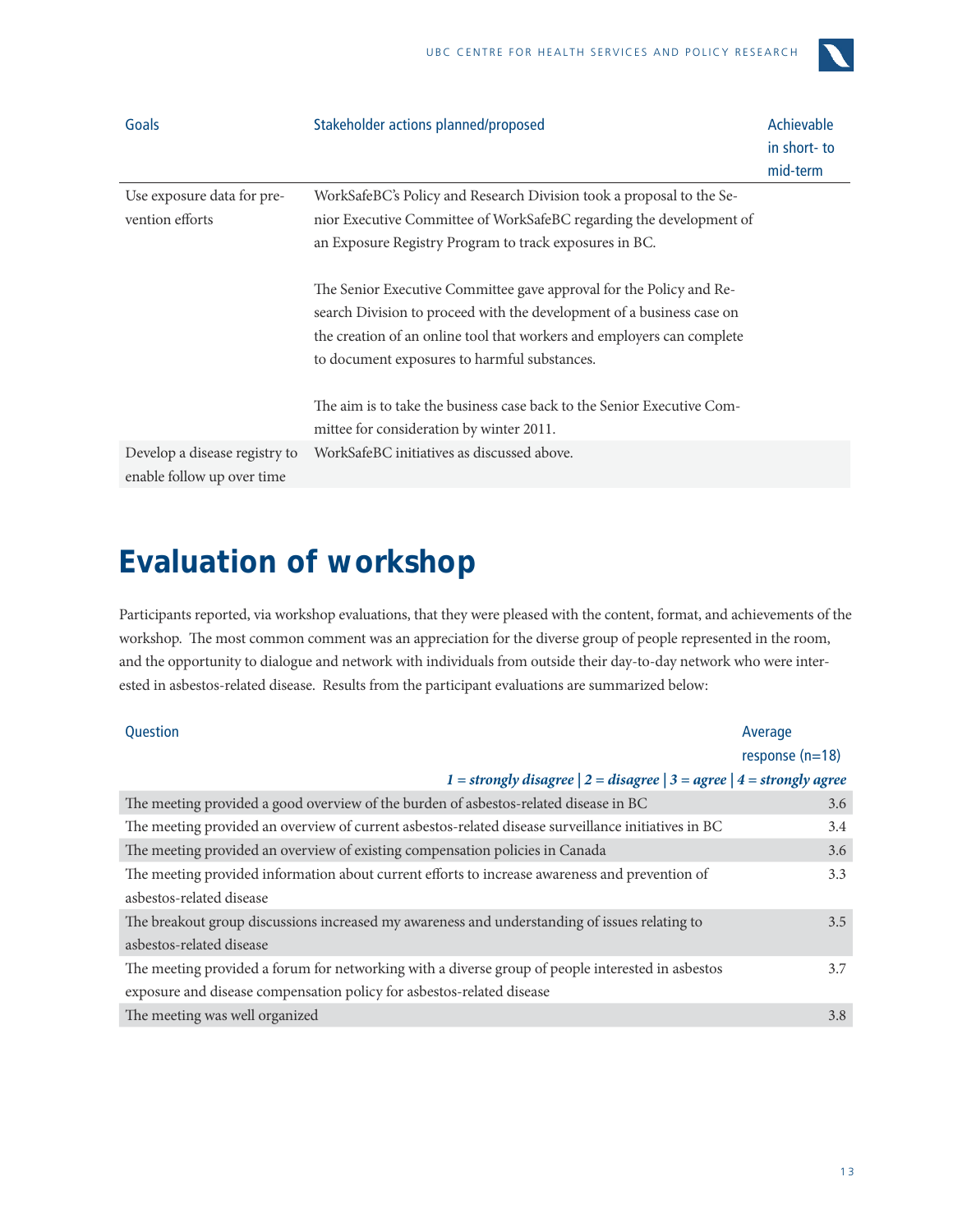

| Goals                                                       | Stakeholder actions planned/proposed                                                                                                                                                                                                                                   | Achievable<br>in short-to<br>mid-term |
|-------------------------------------------------------------|------------------------------------------------------------------------------------------------------------------------------------------------------------------------------------------------------------------------------------------------------------------------|---------------------------------------|
| Use exposure data for pre-                                  | WorkSafeBC's Policy and Research Division took a proposal to the Se-                                                                                                                                                                                                   |                                       |
| vention efforts                                             | nior Executive Committee of WorkSafeBC regarding the development of                                                                                                                                                                                                    |                                       |
|                                                             | an Exposure Registry Program to track exposures in BC.                                                                                                                                                                                                                 |                                       |
|                                                             | The Senior Executive Committee gave approval for the Policy and Re-<br>search Division to proceed with the development of a business case on<br>the creation of an online tool that workers and employers can complete<br>to document exposures to harmful substances. |                                       |
|                                                             | The aim is to take the business case back to the Senior Executive Com-<br>mittee for consideration by winter 2011.                                                                                                                                                     |                                       |
| Develop a disease registry to<br>enable follow up over time | WorkSafeBC initiatives as discussed above.                                                                                                                                                                                                                             |                                       |

## **Evaluation of workshop**

Participants reported, via workshop evaluations, that they were pleased with the content, format, and achievements of the workshop. The most common comment was an appreciation for the diverse group of people represented in the room, and the opportunity to dialogue and network with individuals from outside their day-to-day network who were interested in asbestos-related disease. Results from the participant evaluations are summarized below:

| <b>Ouestion</b>                                                                                     | Average           |
|-----------------------------------------------------------------------------------------------------|-------------------|
|                                                                                                     | response $(n=18)$ |
| 1 = strongly disagree $ 2 =$ disagree $ 3 =$ agree $ 4 =$ strongly agree                            |                   |
| The meeting provided a good overview of the burden of asbestos-related disease in BC                | 3.6               |
| The meeting provided an overview of current asbestos-related disease surveillance initiatives in BC | 3.4               |
| The meeting provided an overview of existing compensation policies in Canada                        | 3.6               |
| The meeting provided information about current efforts to increase awareness and prevention of      | 3.3               |
| asbestos-related disease                                                                            |                   |
| The breakout group discussions increased my awareness and understanding of issues relating to       | 3.5               |
| asbestos-related disease                                                                            |                   |
| The meeting provided a forum for networking with a diverse group of people interested in asbestos   | 3.7               |
| exposure and disease compensation policy for asbestos-related disease                               |                   |
| The meeting was well organized                                                                      | 3.8               |